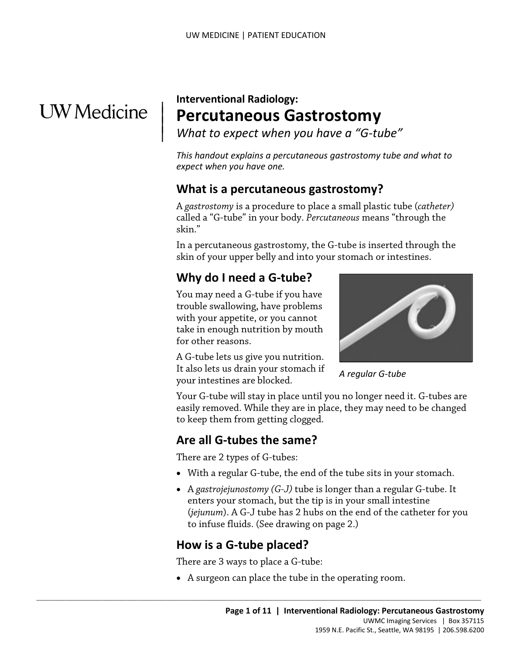## **UW** Medicine

 $\overline{\phantom{a}}$  $\parallel$  $\vert$ 

## **Interventional Radiology: Percutaneous Gastrostomy**

*What to expect when you have a "G-tube"* 

*This handout explains a percutaneous gastrostomy tube and what to expect when you have one.* 

### **What is a percutaneous gastrostomy?**

A *gastrostomy* is a procedure to place a small plastic tube (*catheter)*  called a "G-tube" in your body. *Percutaneous* means "through the skin."

skin."<br>
In a percutaneous gastrostomy, the G-tube is inserted through the skin of your upper belly and into your stomach or intestines.<br> **Why do I need a G-tube?**<br>
You may need a G-tube if you have<br>
trouble swallowing, hav In a percutaneous gastrostomy, the G-tube is inserted through the skin of your upper belly and into your stomach or intestines.

## **Why do I need a G-tube?**

 You may need a G-tube if you have for other reasons. trouble swallowing, have problems with your appetite, or you cannot take in enough nutrition by mouth

A G-tube lets us give you nutrition. It also lets us drain your stomach if your intestines are blocked.



 *A regular G-tube* 

Your G-tube will stay in place until you no longer need it. G-tubes are easily removed. While they are in place, they may need to be changed to keep them from getting clogged.

## **Are all G-tubes the same?**

There are 2 types of G-tubes:

- With a regular G-tube, the end of the tube sits in your stomach.
- • A *gastrojejunostomy (G-J)* tube is longer than a regular G-tube. It enters your stomach, but the tip is in your small intestine (*jejunum*). A G-J tube has 2 hubs on the end of the catheter for you to infuse fluids. (See drawing on page 2.)

## **How is a G-tube placed?**

There are 3 ways to place a G-tube:

 $\_$  ,  $\_$  ,  $\_$  ,  $\_$  ,  $\_$  ,  $\_$  ,  $\_$  ,  $\_$  ,  $\_$  ,  $\_$  ,  $\_$  ,  $\_$  ,  $\_$  ,  $\_$  ,  $\_$  ,  $\_$  ,  $\_$  ,  $\_$  ,  $\_$  ,  $\_$  ,  $\_$  ,  $\_$  ,  $\_$  ,  $\_$  ,  $\_$  ,  $\_$  ,  $\_$  ,  $\_$  ,  $\_$  ,  $\_$  ,  $\_$  ,  $\_$  ,  $\_$  ,  $\_$  ,  $\_$  ,  $\_$  ,  $\_$  ,

• A surgeon can place the tube in the operating room.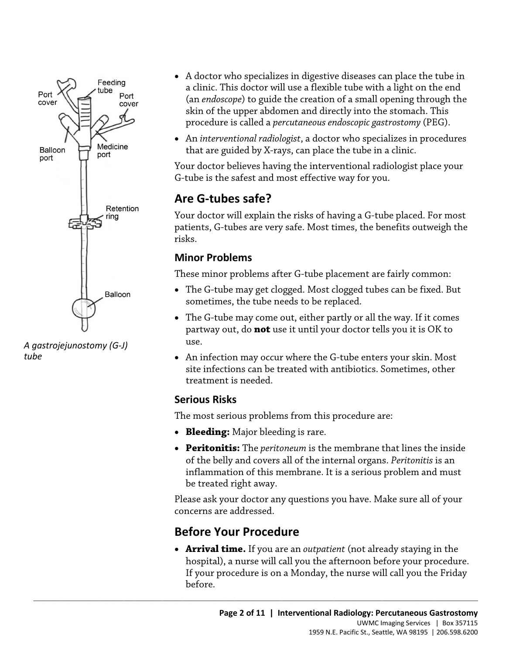

*A gastrojejunostomy (G-J) tube* 

- A doctor who specializes in digestive diseases can place the tube in a clinic. This doctor will use a flexible tube with a light on the end (an *endoscope*) to guide the creation of a small opening through the skin of the upper abdomen and directly into the stomach. This procedure is called a *percutaneous endoscopic gastrostomy* (PEG).
- An *interventional radiologist*, a doctor who specializes in procedures that are guided by X-rays, can place the tube in a clinic.

Your doctor believes having the interventional radiologist place your G-tube is the safest and most effective way for you.

## **Are G-tubes safe?**

 patients, G-tubes are very safe. Most times, the benefits outweigh the Your doctor will explain the risks of having a G-tube placed. For most risks.

#### **Minor Problems**

These minor problems after G-tube placement are fairly common:

- The G-tube may get clogged. Most clogged tubes can be fixed. But sometimes, the tube needs to be replaced.
- The G-tube may come out, either partly or all the way. If it comes partway out, do **not** use it until your doctor tells you it is OK to use.
- An infection may occur where the G-tube enters your skin. Most site infections can be treated with antibiotics. Sometimes, other treatment is needed.

#### **Serious Risks**

The most serious problems from this procedure are:

- **Bleeding:** Major bleeding is rare.
- • **Peritonitis:** The *peritoneum* is the membrane that lines the inside inflammation of this membrane. It is a serious problem and must of the belly and covers all of the internal organs. *Peritonitis* is an be treated right away.

Please ask your doctor any questions you have. Make sure all of your concerns are addressed.

## **Before Your Procedure**

 $\_$  ,  $\_$  ,  $\_$  ,  $\_$  ,  $\_$  ,  $\_$  ,  $\_$  ,  $\_$  ,  $\_$  ,  $\_$  ,  $\_$  ,  $\_$  ,  $\_$  ,  $\_$  ,  $\_$  ,  $\_$  ,  $\_$  ,  $\_$  ,  $\_$  ,  $\_$  ,  $\_$  ,  $\_$  ,  $\_$  ,  $\_$  ,  $\_$  ,  $\_$  ,  $\_$  ,  $\_$  ,  $\_$  ,  $\_$  ,  $\_$  ,  $\_$  ,  $\_$  ,  $\_$  ,  $\_$  ,  $\_$  ,  $\_$  ,

• **Arrival time.** If you are an *outpatient* (not already staying in the hospital), a nurse will call you the afternoon before your procedure. If your procedure is on a Monday, the nurse will call you the Friday before.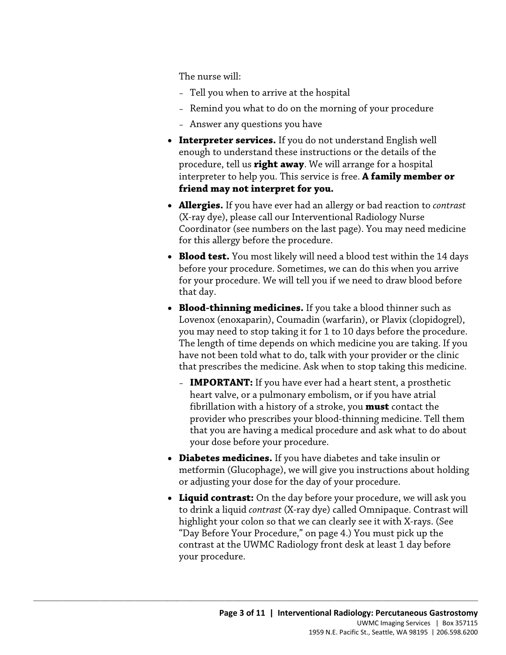The nurse will:

- Tell you when to arrive at the hospital
- Remind you what to do on the morning of your procedure
- Answer any questions you have
- **Interpreter services.** If you do not understand English well enough to understand these instructions or the details of the procedure, tell us **right away**. We will arrange for a hospital interpreter to help you. This service is free. **A family member or friend may not interpret for you.**
- **Allergies.** If you have ever had an allergy or bad reaction to *contrast*  (X-ray dye), please call our Interventional Radiology Nurse Coordinator (see numbers on the last page). You may need medicine for this allergy before the procedure.
- for this allergy before the procedure.<br>
 **Blood test.** You most likely will need a blood test within the 14 c<br>
before your procedure. Sometimes, we can do this when you arriv<br>
for your procedure. We will tell you if we ne • **Blood test.** You most likely will need a blood test within the 14 days before your procedure. Sometimes, we can do this when you arrive for your procedure. We will tell you if we need to draw blood before that day.
	- **Blood-thinning medicines.** If you take a blood thinner such as Lovenox (enoxaparin), Coumadin (warfarin), or Plavix (clopidogrel), you may need to stop taking it for 1 to 10 days before the procedure. The length of time depends on which medicine you are taking. If you have not been told what to do, talk with your provider or the clinic that prescribes the medicine. Ask when to stop taking this medicine.
		- **IMPORTANT:** If you have ever had a heart stent, a prosthetic heart valve, or a pulmonary embolism, or if you have atrial fibrillation with a history of a stroke, you **must** contact the provider who prescribes your blood-thinning medicine. Tell them that you are having a medical procedure and ask what to do about your dose before your procedure.
	- **Diabetes medicines.** If you have diabetes and take insulin or metformin (Glucophage), we will give you instructions about holding or adjusting your dose for the day of your procedure.
	- **Liquid contrast:** On the day before your procedure, we will ask you to drink a liquid *contrast* (X-ray dye) called Omnipaque. Contrast will highlight your colon so that we can clearly see it with X-rays. (See "Day Before Your Procedure," on page 4.) You must pick up the contrast at the UWMC Radiology front desk at least 1 day before your procedure.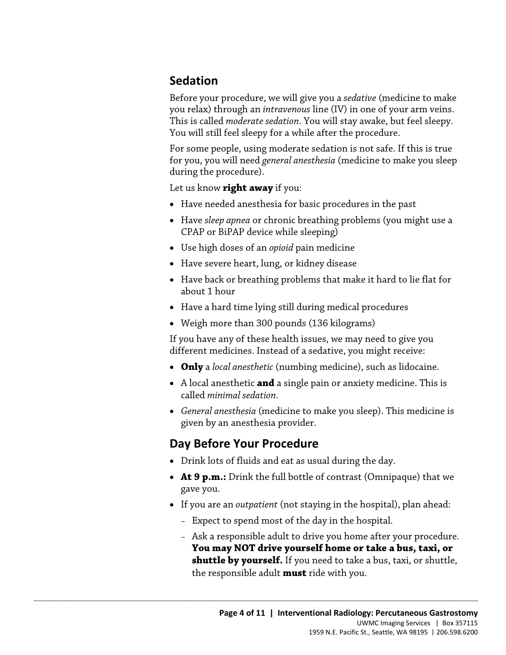## **Sedation**

 Before your procedure, we will give you a *sedative* (medicine to make you relax) through an *intravenous* line (IV) in one of your arm veins. This is called *moderate sedation*. You will stay awake, but feel sleepy. You will still feel sleepy for a while after the procedure.

For some people, using moderate sedation is not safe. If this is true for you, you will need *general anesthesia* (medicine to make you sleep during the procedure).

Let us know **right away** if you:

- Have needed anesthesia for basic procedures in the past
- Have *sleep apnea* or chronic breathing problems (you might use a CPAP or BiPAP device while sleeping)
- Use high doses of an *opioid* pain medicine
- Have severe heart, lung, or kidney disease
- about 1 hour • Use high doses of an *opioid* pain medicine<br>
• Have severe heart, lung, or kidney disease<br>
• Have back or breathing problems that make it hard to lie flat for<br>
• Have a hard time lying still during medical procedures<br>
• • Have back or breathing problems that make it hard to lie flat for
	- Have a hard time lying still during medical procedures
	- Weigh more than 300 pounds (136 kilograms)

If you have any of these health issues, we may need to give you different medicines. Instead of a sedative, you might receive:

- **Only** a *local anesthetic* (numbing medicine), such as lidocaine.
- A local anesthetic **and** a single pain or anxiety medicine. This is called *minimal sedation*.
- *General anesthesia* (medicine to make you sleep). This medicine is given by an anesthesia provider.

## **Day Before Your Procedure**

- Drink lots of fluids and eat as usual during the day.
- • **At 9 p.m.:** Drink the full bottle of contrast (Omnipaque) that we gave you.
- If you are an *outpatient* (not staying in the hospital), plan ahead:
	- Expect to spend most of the day in the hospital.
	- Ask a responsible adult to drive you home after your procedure. **You may NOT drive yourself home or take a bus, taxi, or shuttle by yourself.** If you need to take a bus, taxi, or shuttle, the responsible adult **must** ride with you.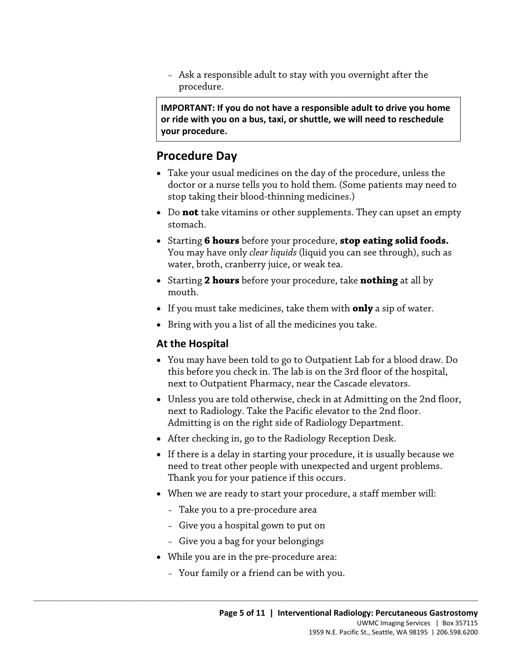– Ask a responsible adult to stay with you overnight after the procedure.

 **or ride with you on a bus, taxi, or shuttle, we will need to reschedule IMPORTANT: If you do not have a responsible adult to drive you home your procedure.** 

## **Procedure Day**

- doctor or a nurse tells you to hold them. (Some patients may need to • Take your usual medicines on the day of the procedure, unless the stop taking their blood-thinning medicines.)
- • Do **not** take vitamins or other supplements. They can upset an empty stomach.
- Starting **6 hours** before your procedure, **stop eating solid foods.**<br>You may have only *clear liquids* (liquid you can see through), such as<br>water, broth, cranberry juice, or weak tea.<br>Starting **2 hours** before your proc • Starting **6 hours** before your procedure, **stop eating solid foods.**  You may have only *clear liquids* (liquid you can see through), such as water, broth, cranberry juice, or weak tea.
	- Starting **2 hours** before your procedure, take **nothing** at all by mouth.
	- If you must take medicines, take them with **only** a sip of water.
	- Bring with you a list of all the medicines you take.

#### **At the Hospital**

- You may have been told to go to Outpatient Lab for a blood draw. Do this before you check in. The lab is on the 3rd floor of the hospital, next to Outpatient Pharmacy, near the Cascade elevators.
- Unless you are told otherwise, check in at Admitting on the 2nd floor, next to Radiology. Take the Pacific elevator to the 2nd floor. Admitting is on the right side of Radiology Department.
- After checking in, go to the Radiology Reception Desk.
- If there is a delay in starting your procedure, it is usually because we need to treat other people with unexpected and urgent problems. Thank you for your patience if this occurs.
- When we are ready to start your procedure, a staff member will:
	- Take you to a pre-procedure area
	- Give you a hospital gown to put on
	- Give you a bag for your belongings
- While you are in the pre-procedure area:
	- Your family or a friend can be with you.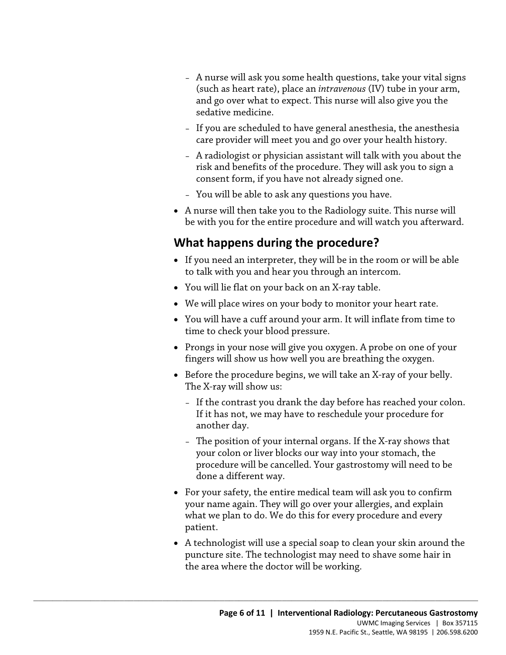- and go over what to expect. This nurse will also give you the – A nurse will ask you some health questions, take your vital signs (such as heart rate), place an *intravenous* (IV) tube in your arm, sedative medicine.
- If you are scheduled to have general anesthesia, the anesthesia care provider will meet you and go over your health history.
- A radiologist or physician assistant will talk with you about the risk and benefits of the procedure. They will ask you to sign a consent form, if you have not already signed one.
- You will be able to ask any questions you have.
- be with you for the entire procedure and will watch you afterward. • A nurse will then take you to the Radiology suite. This nurse will

## **What happens during the procedure?**

- What happens during the procedure?<br>• If you need an interpreter, they will be in the room or will be abl<br>to talk with you and hear you through an intercom.<br>• You will lie flat on your back on an X-ray table.<br>• We will plac • If you need an interpreter, they will be in the room or will be able to talk with you and hear you through an intercom.
	- You will lie flat on your back on an X-ray table.
	- We will place wires on your body to monitor your heart rate.
	- • You will have a cuff around your arm. It will inflate from time to time to check your blood pressure.
	- Prongs in your nose will give you oxygen. A probe on one of your fingers will show us how well you are breathing the oxygen.
	- The X-ray will show us: • Before the procedure begins, we will take an X-ray of your belly.
		- If the contrast you drank the day before has reached your colon. If it has not, we may have to reschedule your procedure for another day.
		- procedure will be cancelled. Your gastrostomy will need to be – The position of your internal organs. If the X-ray shows that your colon or liver blocks our way into your stomach, the done a different way.
	- your name again. They will go over your allergies, and explain • For your safety, the entire medical team will ask you to confirm what we plan to do. We do this for every procedure and every patient.
	- A technologist will use a special soap to clean your skin around the puncture site. The technologist may need to shave some hair in the area where the doctor will be working.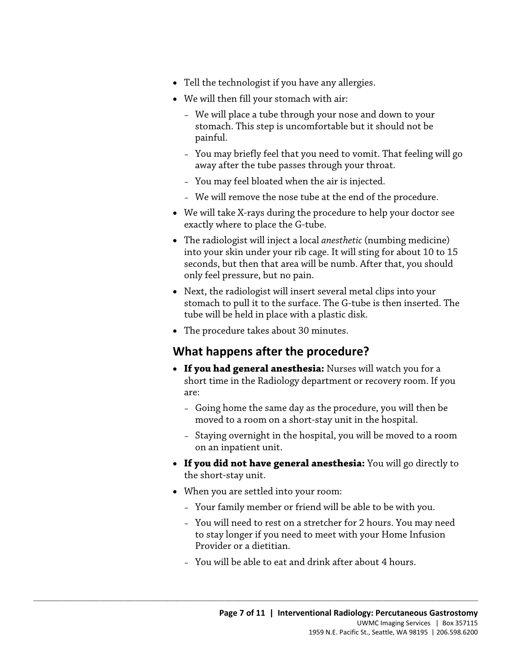- Tell the technologist if you have any allergies.
- We will then fill your stomach with air:
	- We will place a tube through your nose and down to your stomach. This step is uncomfortable but it should not be painful.
	- You may briefly feel that you need to vomit. That feeling will go away after the tube passes through your throat.
	- You may feel bloated when the air is injected.
	- We will remove the nose tube at the end of the procedure.
- We will take X-rays during the procedure to help your doctor see exactly where to place the G-tube.
- only feel pressure, but no pain. • The radiologist will inject a local *anesthetic* (numbing medicine)<br>into your skin under your rib cage. It will sting for about 10 to 1<br>seconds, but then that area will be numb. After that, you should<br>only feel pressure • The radiologist will inject a local *anesthetic* (numbing medicine) into your skin under your rib cage. It will sting for about 10 to 15 seconds, but then that area will be numb. After that, you should
	- Next, the radiologist will insert several metal clips into your stomach to pull it to the surface. The G-tube is then inserted. The tube will be held in place with a plastic disk.
	- The procedure takes about 30 minutes.

## **What happens after the procedure?**

- **If you had general anesthesia:** Nurses will watch you for a short time in the Radiology department or recovery room. If you are:
	- moved to a room on a short-stay unit in the hospital. – Going home the same day as the procedure, you will then be
	- Staying overnight in the hospital, you will be moved to a room on an inpatient unit.
- **If you did not have general anesthesia:** You will go directly to the short-stay unit.
- When you are settled into your room:

- Your family member or friend will be able to be with you.
- You will need to rest on a stretcher for 2 hours. You may need to stay longer if you need to meet with your Home Infusion Provider or a dietitian.
- You will be able to eat and drink after about 4 hours.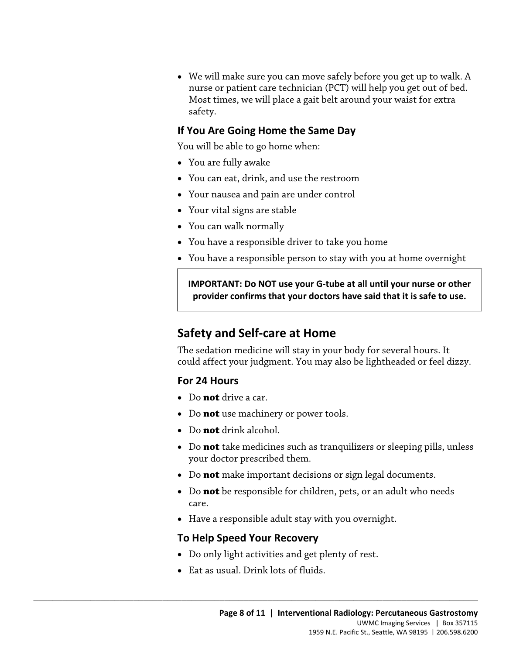• We will make sure you can move safely before you get up to walk. A nurse or patient care technician (PCT) will help you get out of bed. Most times, we will place a gait belt around your waist for extra safety.

#### **If You Are Going Home the Same Day**

You will be able to go home when:

- You are fully awake
- You can eat, drink, and use the restroom
- Your nausea and pain are under control
- Your vital signs are stable
- You can walk normally
- You have a responsible driver to take you home
- You have a responsible person to stay with you at home overnight

• You have a responsible driver to take you home<br>• You have a responsible person to stay with you at home overnig<br>• NORTANT: Do NOT use your G-tube at all until your nurse or of<br>• provider confirms that your doctors have s **IMPORTANT: Do NOT use your G-tube at all until your nurse or other provider confirms that your doctors have said that it is safe to use.** 

## **Safety and Self-care at Home**

 could affect your judgment. You may also be lightheaded or feel dizzy. The sedation medicine will stay in your body for several hours. It

#### **For 24 Hours**

- Do **not** drive a car.
- Do **not** use machinery or power tools.
- Do **not** drink alcohol.
- Do **not** take medicines such as tranquilizers or sleeping pills, unless your doctor prescribed them.
- Do **not** make important decisions or sign legal documents.
- Do **not** be responsible for children, pets, or an adult who needs care.
- Have a responsible adult stay with you overnight.

#### **To Help Speed Your Recovery**

- Do only light activities and get plenty of rest.
- Eat as usual. Drink lots of fluids.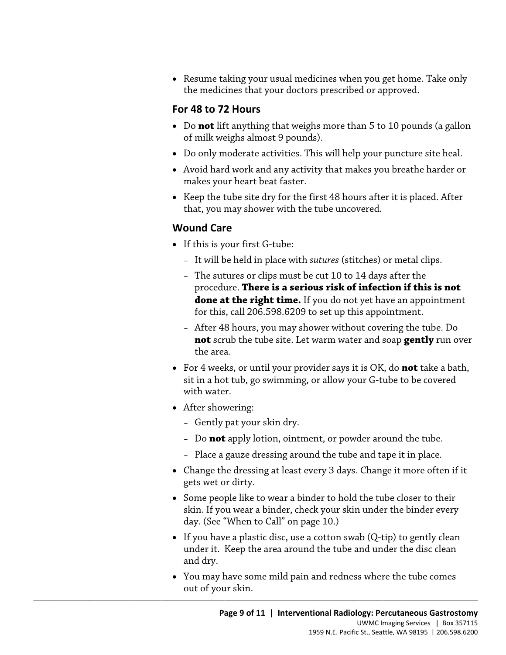• Resume taking your usual medicines when you get home. Take only the medicines that your doctors prescribed or approved.

#### **For 48 to 72 Hours**

- Do **not** lift anything that weighs more than 5 to 10 pounds (a gallon of milk weighs almost 9 pounds).
- Do only moderate activities. This will help your puncture site heal.
- Avoid hard work and any activity that makes you breathe harder or makes your heart beat faster.
- Keep the tube site dry for the first 48 hours after it is placed. After that, you may shower with the tube uncovered.

#### **Wound Care**

- If this is your first G-tube:
	- It will be held in place with *sutures* (stitches) or metal clips.
- procedure. **There is a serious risk of infection if this is not**  • If this is your first G-tube:<br>- It will be held in place with *sutures* (stitches) or metal clips.<br>- The sutures or clips must be cut 10 to 14 days after the<br>procedure. **There is a serious risk of infection if this is no** – The sutures or clips must be cut 10 to 14 days after the **done at the right time.** If you do not yet have an appointment for this, call 206.598.6209 to set up this appointment.
	- After 48 hours, you may shower without covering the tube. Do **not** scrub the tube site. Let warm water and soap **gently** run over the area.
	- • For 4 weeks, or until your provider says it is OK, do **not** take a bath, sit in a hot tub, go swimming, or allow your G-tube to be covered with water.
	- After showering:
		- Gently pat your skin dry.

- Do **not** apply lotion, ointment, or powder around the tube.
- Place a gauze dressing around the tube and tape it in place.
- Change the dressing at least every 3 days. Change it more often if it gets wet or dirty.
- Some people like to wear a binder to hold the tube closer to their skin. If you wear a binder, check your skin under the binder every day. (See "When to Call" on page 10.)
- If you have a plastic disc, use a cotton swab (Q-tip) to gently clean under it. Keep the area around the tube and under the disc clean and dry.
- You may have some mild pain and redness where the tube comes out of your skin.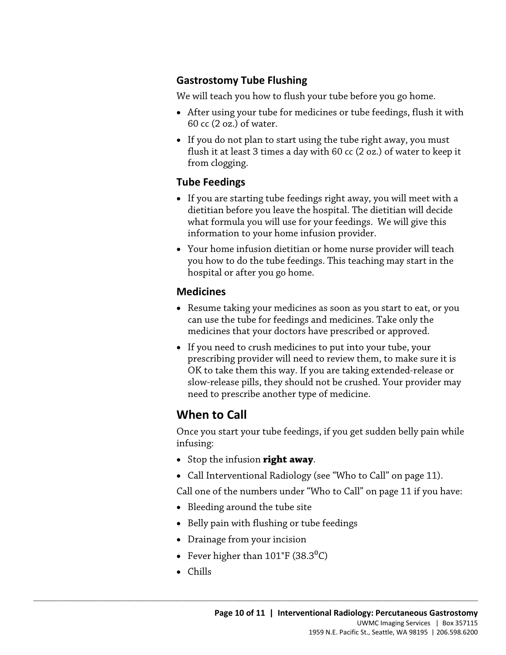#### **Gastrostomy Tube Flushing**

We will teach you how to flush your tube before you go home.

- 60 cc (2 oz.) of water. • After using your tube for medicines or tube feedings, flush it with
- • If you do not plan to start using the tube right away, you must flush it at least 3 times a day with 60 cc (2 oz.) of water to keep it from clogging.

#### **Tube Feedings**

- what formula you will use for your feedings. We will give this • If you are starting tube feedings right away, you will meet with a dietitian before you leave the hospital. The dietitian will decide information to your home infusion provider.
- you how to do the tube feedings. This teaching may start in the • Your home infusion dietitian or home nurse provider will teach<br>you how to do the tube feedings. This teaching may start in the<br>hospital or after you go home.<br>**Medicines**<br>• Resume taking your medicines as soon as you star • Your home infusion dietitian or home nurse provider will teach hospital or after you go home.

#### **Medicines**

- Resume taking your medicines as soon as you start to eat, or you can use the tube for feedings and medicines. Take only the medicines that your doctors have prescribed or approved.
- If you need to crush medicines to put into your tube, your prescribing provider will need to review them, to make sure it is OK to take them this way. If you are taking extended-release or slow-release pills, they should not be crushed. Your provider may need to prescribe another type of medicine.

## **When to Call**

Once you start your tube feedings, if you get sudden belly pain while infusing:

- Stop the infusion **right away**.
- Call Interventional Radiology (see "Who to Call" on page 11).

Call one of the numbers under "Who to Call" on page 11 if you have:

- Bleeding around the tube site
- Belly pain with flushing or tube feedings
- Drainage from your incision
- Fever higher than  $101^{\circ}$ F (38.3 $^{0}$ C)

 $\_$  ,  $\_$  ,  $\_$  ,  $\_$  ,  $\_$  ,  $\_$  ,  $\_$  ,  $\_$  ,  $\_$  ,  $\_$  ,  $\_$  ,  $\_$  ,  $\_$  ,  $\_$  ,  $\_$  ,  $\_$  ,  $\_$  ,  $\_$  ,  $\_$  ,  $\_$  ,  $\_$  ,  $\_$  ,  $\_$  ,  $\_$  ,  $\_$  ,  $\_$  ,  $\_$  ,  $\_$  ,  $\_$  ,  $\_$  ,  $\_$  ,  $\_$  ,  $\_$  ,  $\_$  ,  $\_$  ,  $\_$  ,  $\_$  ,

• Chills